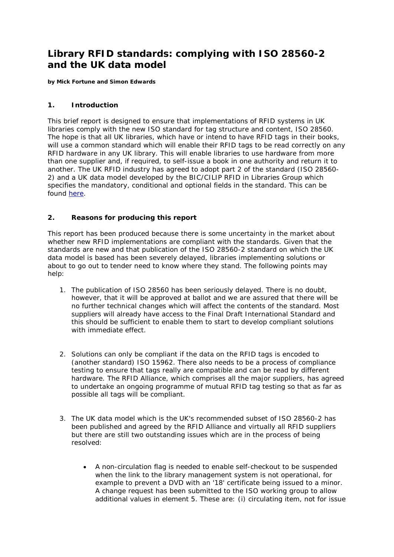# **Library RFID standards: complying with ISO 28560-2 and the UK data model**

*by Mick Fortune and Simon Edwards*

### **1. Introduction**

This brief report is designed to ensure that implementations of RFID systems in UK libraries comply with the new ISO standard for tag structure and content, ISO 28560. The hope is that all UK libraries, which have or intend to have RFID tags in their books, will use a common standard which will enable their RFID tags to be read correctly on any RFID hardware in any UK library. This will enable libraries to use hardware from more than one supplier and, if required, to self-issue a book in one authority and return it to another. The UK RFID industry has agreed to adopt part 2 of the standard (ISO 28560- 2) and a UK data model developed by the BIC/CILIP RFID in Libraries Group which specifies the mandatory, conditional and optional fields in the standard. This can be found [here.](http://www.bic.org.uk/e4librariesfiles/pdfs/100301National%20Profile%20for%20ISO%2028560-2%20final.pdf)

## **2. Reasons for producing this report**

This report has been produced because there is some uncertainty in the market about whether new RFID implementations are compliant with the standards. Given that the standards are new and that publication of the ISO 28560-2 standard on which the UK data model is based has been severely delayed, libraries implementing solutions or about to go out to tender need to know where they stand. The following points may help:

- 1. The publication of ISO 28560 has been seriously delayed. There is no doubt, however, that it will be approved at ballot and we are assured that there will be no further technical changes which will affect the contents of the standard. Most suppliers will already have access to the Final Draft International Standard and this should be sufficient to enable them to start to develop compliant solutions with immediate effect.
- 2. Solutions can only be compliant if the data on the RFID tags is encoded to (another standard) ISO 15962. There also needs to be a process of compliance testing to ensure that tags really are compatible and can be read by different hardware. The RFID Alliance, which comprises all the major suppliers, has agreed to undertake an ongoing programme of mutual RFID tag testing so that as far as possible all tags will be compliant.
- 3. The UK data model which is the UK's recommended subset of ISO 28560-2 has been published and agreed by the RFID Alliance and virtually all RFID suppliers but there are still two outstanding issues which are in the process of being resolved:
	- A non-circulation flag is needed to enable self-checkout to be suspended when the link to the library management system is not operational, for example to prevent a DVD with an '18' certificate being issued to a minor. A change request has been submitted to the ISO working group to allow additional values in element 5. These are: (i) circulating item, not for issue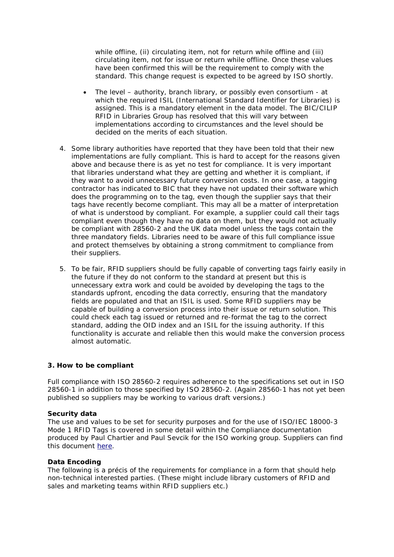while offline, (ii) circulating item, not for return while offline and (iii) circulating item, not for issue or return while offline. Once these values have been confirmed this will be the requirement to comply with the standard. This change request is expected to be agreed by ISO shortly.

- The level authority, branch library, or possibly even consortium at which the required ISIL (International Standard Identifier for Libraries) is assigned. This is a mandatory element in the data model. The BIC/CILIP RFID in Libraries Group has resolved that this will vary between implementations according to circumstances and the level should be decided on the merits of each situation.
- 4. Some library authorities have reported that they have been told that their new implementations are fully compliant. This is hard to accept for the reasons given above and because there is as yet no test for compliance. It is very important that libraries understand what they are getting and whether it is compliant, if they want to avoid unnecessary future conversion costs. In one case, a tagging contractor has indicated to BIC that they have not updated their software which does the programming on to the tag, even though the supplier says that their tags have recently become compliant. This may all be a matter of interpretation of what is understood by compliant. For example, a supplier could call their tags compliant even though they have no data on them, but they would not actually be compliant with 28560-2 and the UK data model unless the tags contain the three mandatory fields. Libraries need to be aware of this full compliance issue and protect themselves by obtaining a strong commitment to compliance from their suppliers.
- 5. To be fair, RFID suppliers should be fully capable of converting tags fairly easily in the future if they do not conform to the standard at present but this is unnecessary extra work and could be avoided by developing the tags to the standards upfront, encoding the data correctly, ensuring that the mandatory fields are populated and that an ISIL is used. Some RFID suppliers may be capable of building a conversion process into their issue or return solution. This could check each tag issued or returned and re-format the tag to the correct standard, adding the OID index and an ISIL for the issuing authority. If this functionality is accurate and reliable then this would make the conversion process almost automatic.

### **3. How to be compliant**

Full compliance with ISO 28560-2 requires adherence to the specifications set out in ISO 28560-1 in addition to those specified by ISO 28560-2. (Again 28560-1 has not yet been published so suppliers may be working to various draft versions.)

### *Security data*

The use and values to be set for security purposes and for the use of ISO/IEC 18000-3 Mode 1 RFID Tags is covered in some detail within the Compliance documentation produced by Paul Chartier and Paul Sevcik for the ISO working group. Suppliers can find this document [here.](http://biblstandard.dk/rfid/docs/conformance_28560-2.pdf)

### *Data Encoding*

The following is a précis of the requirements for compliance in a form that should help non-technical interested parties. (These might include library customers of RFID and sales and marketing teams within RFID suppliers etc.)